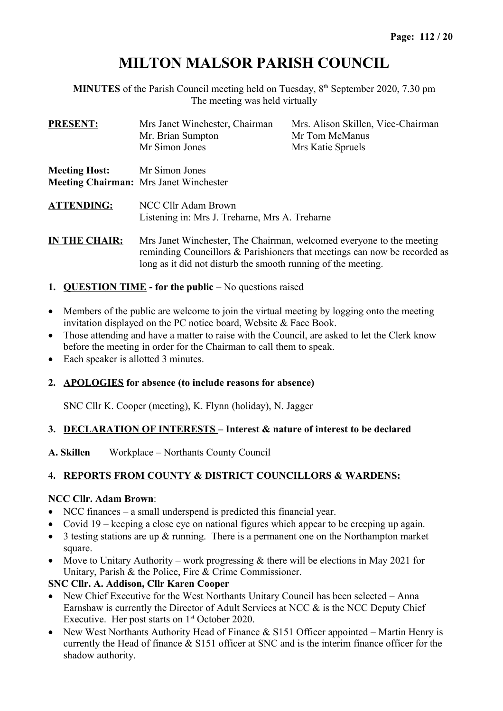# **MILTON MALSOR PARISH COUNCIL**

**MINUTES** of the Parish Council meeting held on Tuesday,  $8<sup>th</sup>$  September 2020, 7.30 pm The meeting was held virtually

| <b>PRESENT:</b>      | Mrs Janet Winchester, Chairman<br>Mr. Brian Sumpton                                                                                                                                                                   | Mrs. Alison Skillen, Vice-Chairman<br>Mr Tom McManus |  |  |
|----------------------|-----------------------------------------------------------------------------------------------------------------------------------------------------------------------------------------------------------------------|------------------------------------------------------|--|--|
|                      | Mr Simon Jones                                                                                                                                                                                                        | Mrs Katie Spruels                                    |  |  |
| <b>Meeting Host:</b> | Mr Simon Jones<br><b>Meeting Chairman:</b> Mrs Janet Winchester                                                                                                                                                       |                                                      |  |  |
| <b>ATTENDING:</b>    | NCC Cllr Adam Brown<br>Listening in: Mrs J. Treharne, Mrs A. Treharne                                                                                                                                                 |                                                      |  |  |
| <b>IN THE CHAIR:</b> | Mrs Janet Winchester, The Chairman, welcomed everyone to the meeting<br>reminding Councillors $\&$ Parishioners that meetings can now be recorded as<br>long as it did not disturb the smooth running of the meeting. |                                                      |  |  |

- **1. QUESTION TIME for the public No questions raised**
- Members of the public are welcome to join the virtual meeting by logging onto the meeting invitation displayed on the PC notice board, Website & Face Book.
- Those attending and have a matter to raise with the Council, are asked to let the Clerk know before the meeting in order for the Chairman to call them to speak.
- Each speaker is allotted 3 minutes.

### **2. APOLOGIES for absence (to include reasons for absence)**

SNC Cllr K. Cooper (meeting), K. Flynn (holiday), N. Jagger

### **3. DECLARATION OF INTERESTS – Interest & nature of interest to be declared**

**A. Skillen** Workplace – Northants County Council

### **4. REPORTS FROM COUNTY & DISTRICT COUNCILLORS & WARDENS:**

### **NCC Cllr. Adam Brown**:

- NCC finances a small underspend is predicted this financial year.
- Covid 19 keeping a close eye on national figures which appear to be creeping up again.
- 3 testing stations are up & running. There is a permanent one on the Northampton market square.
- Move to Unitary Authority work progressing  $&$  there will be elections in May 2021 for Unitary, Parish & the Police, Fire & Crime Commissioner.

### **SNC Cllr. A. Addison, Cllr Karen Cooper**

- New Chief Executive for the West Northants Unitary Council has been selected Anna Earnshaw is currently the Director of Adult Services at NCC & is the NCC Deputy Chief Executive. Her post starts on  $1<sup>st</sup>$  October 2020.
- New West Northants Authority Head of Finance  $&$  S151 Officer appointed Martin Henry is currently the Head of finance & S151 officer at SNC and is the interim finance officer for the shadow authority.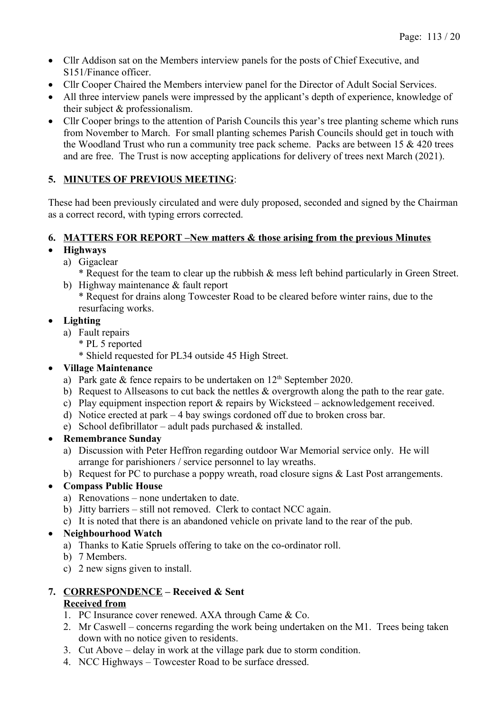- Cllr Addison sat on the Members interview panels for the posts of Chief Executive, and S151/Finance officer.
- Cllr Cooper Chaired the Members interview panel for the Director of Adult Social Services.
- All three interview panels were impressed by the applicant's depth of experience, knowledge of their subject & professionalism.
- Cllr Cooper brings to the attention of Parish Councils this year's tree planting scheme which runs from November to March. For small planting schemes Parish Councils should get in touch with the Woodland Trust who run a community tree pack scheme. Packs are between 15 & 420 trees and are free. The Trust is now accepting applications for delivery of trees next March (2021).

## **5. MINUTES OF PREVIOUS MEETING**:

These had been previously circulated and were duly proposed, seconded and signed by the Chairman as a correct record, with typing errors corrected.

## **6. MATTERS FOR REPORT –New matters & those arising from the previous Minutes**

## **Highways**

- a) Gigaclear
	- \* Request for the team to clear up the rubbish & mess left behind particularly in Green Street.
- b) Highway maintenance & fault report
	- \* Request for drains along Towcester Road to be cleared before winter rains, due to the resurfacing works.

## **Lighting**

- a) Fault repairs
	- \* PL 5 reported
	- \* Shield requested for PL34 outside 45 High Street.

## **Village Maintenance**

- a) Park gate  $&$  fence repairs to be undertaken on  $12<sup>th</sup>$  September 2020.
- b) Request to Allseasons to cut back the nettles & overgrowth along the path to the rear gate.
- c) Play equipment inspection report & repairs by Wicksteed acknowledgement received.
- d) Notice erected at park 4 bay swings cordoned off due to broken cross bar.
- e) School defibrillator adult pads purchased  $\&$  installed.

## **Remembrance Sunday**

- a) Discussion with Peter Heffron regarding outdoor War Memorial service only. He will arrange for parishioners / service personnel to lay wreaths.
- b) Request for PC to purchase a poppy wreath, road closure signs & Last Post arrangements.

## **Compass Public House**

- a) Renovations none undertaken to date.
- b) Jitty barriers still not removed. Clerk to contact NCC again.
- c) It is noted that there is an abandoned vehicle on private land to the rear of the pub.

## **Neighbourhood Watch**

- a) Thanks to Katie Spruels offering to take on the co-ordinator roll.
- b) 7 Members.
- c) 2 new signs given to install.

# **7. CORRESPONDENCE – Received & Sent**

## **Received from**

- 1. PC Insurance cover renewed. AXA through Came & Co.
- 2. Mr Caswell concerns regarding the work being undertaken on the M1. Trees being taken down with no notice given to residents.
- 3. Cut Above delay in work at the village park due to storm condition.
- 4. NCC Highways Towcester Road to be surface dressed.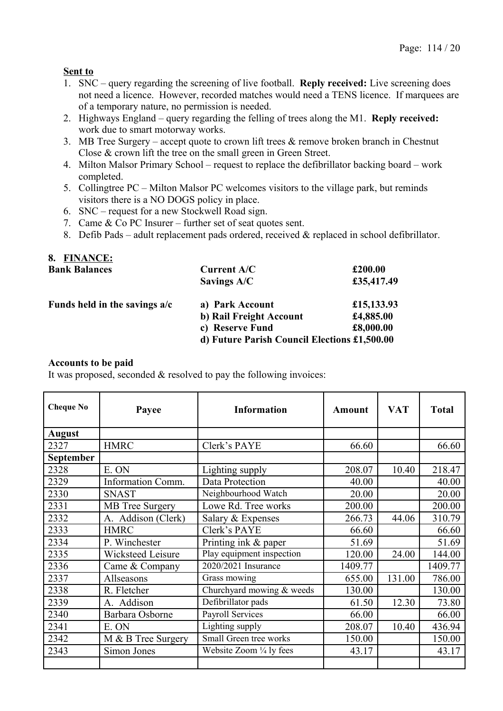### **Sent to**

- 1. SNC query regarding the screening of live football. **Reply received:** Live screening does not need a licence. However, recorded matches would need a TENS licence. If marquees are of a temporary nature, no permission is needed.
- 2. Highways England query regarding the felling of trees along the M1. **Reply received:**  work due to smart motorway works.
- 3. MB Tree Surgery accept quote to crown lift trees  $\&$  remove broken branch in Chestnut Close & crown lift the tree on the small green in Green Street.
- 4. Milton Malsor Primary School request to replace the defibrillator backing board work completed.
- 5. Collingtree PC Milton Malsor PC welcomes visitors to the village park, but reminds visitors there is a NO DOGS policy in place.
- 6. SNC request for a new Stockwell Road sign.
- 7. Came & Co PC Insurer further set of seat quotes sent.
- 8. Defib Pads adult replacement pads ordered, received & replaced in school defibrillator.

| 8. FINANCE:                   |                                              |            |
|-------------------------------|----------------------------------------------|------------|
| <b>Bank Balances</b>          | <b>Current A/C</b>                           | £200.00    |
|                               | Savings A/C                                  | £35,417.49 |
| Funds held in the savings a/c | a) Park Account                              | £15,133.93 |
|                               | b) Rail Freight Account                      | £4,885.00  |
|                               | c) Reserve Fund                              | £8,000.00  |
|                               | d) Future Parish Council Elections £1,500.00 |            |

### **Accounts to be paid**

It was proposed, seconded  $\&$  resolved to pay the following invoices:

| <b>Cheque No</b> | Payee                  | <b>Information</b>        | <b>Amount</b> | <b>VAT</b> | <b>Total</b> |
|------------------|------------------------|---------------------------|---------------|------------|--------------|
| <b>August</b>    |                        |                           |               |            |              |
| 2327             | <b>HMRC</b>            | Clerk's PAYE              | 66.60         |            | 66.60        |
| <b>September</b> |                        |                           |               |            |              |
| 2328             | E. ON                  | Lighting supply           | 208.07        | 10.40      | 218.47       |
| 2329             | Information Comm.      | Data Protection           | 40.00         |            | 40.00        |
| 2330             | <b>SNAST</b>           | Neighbourhood Watch       | 20.00         |            | 20.00        |
| 2331             | <b>MB</b> Tree Surgery | Lowe Rd. Tree works       | 200.00        |            | 200.00       |
| 2332             | A. Addison (Clerk)     | Salary & Expenses         | 266.73        | 44.06      | 310.79       |
| 2333             | <b>HMRC</b>            | Clerk's PAYE              | 66.60         |            | 66.60        |
| 2334             | P. Winchester          | Printing ink & paper      | 51.69         |            | 51.69        |
| 2335             | Wicksteed Leisure      | Play equipment inspection | 120.00        | 24.00      | 144.00       |
| 2336             | Came & Company         | 2020/2021 Insurance       | 1409.77       |            | 1409.77      |
| 2337             | Allseasons             | Grass mowing              | 655.00        | 131.00     | 786.00       |
| 2338             | R. Fletcher            | Churchyard mowing & weeds | 130.00        |            | 130.00       |
| 2339             | A. Addison             | Defibrillator pads        | 61.50         | 12.30      | 73.80        |
| 2340             | Barbara Osborne        | Payroll Services          | 66.00         |            | 66.00        |
| 2341             | E. ON                  | Lighting supply           | 208.07        | 10.40      | 436.94       |
| 2342             | M & B Tree Surgery     | Small Green tree works    | 150.00        |            | 150.00       |
| 2343             | Simon Jones            | Website Zoom 1/4 ly fees  | 43.17         |            | 43.17        |
|                  |                        |                           |               |            |              |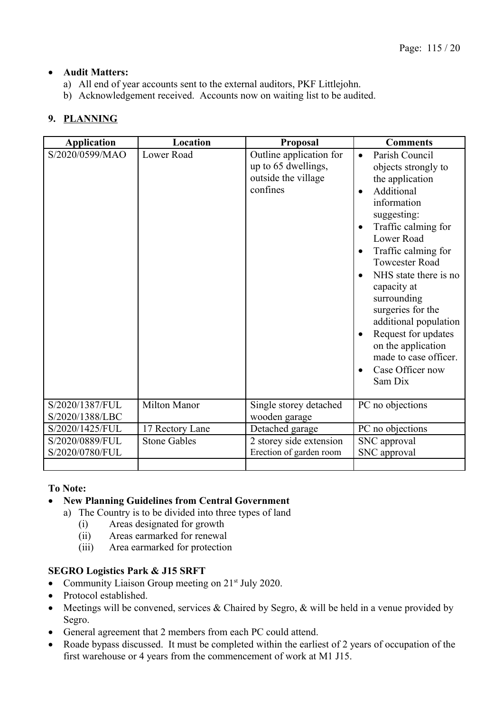## **Audit Matters:**

- a) All end of year accounts sent to the external auditors, PKF Littlejohn.
- b) Acknowledgement received. Accounts now on waiting list to be audited.

## **9. PLANNING**

| <b>Application</b>                 | Location            | Proposal                                                                          | <b>Comments</b>                                                                                                                                                                                                                                                                                                                                                                                                                                                                   |
|------------------------------------|---------------------|-----------------------------------------------------------------------------------|-----------------------------------------------------------------------------------------------------------------------------------------------------------------------------------------------------------------------------------------------------------------------------------------------------------------------------------------------------------------------------------------------------------------------------------------------------------------------------------|
| S/2020/0599/MAO                    | Lower Road          | Outline application for<br>up to 65 dwellings,<br>outside the village<br>confines | Parish Council<br>$\bullet$<br>objects strongly to<br>the application<br>Additional<br>$\bullet$<br>information<br>suggesting:<br>Traffic calming for<br>$\bullet$<br>Lower Road<br>Traffic calming for<br>$\bullet$<br><b>Towcester Road</b><br>NHS state there is no<br>capacity at<br>surrounding<br>surgeries for the<br>additional population<br>Request for updates<br>$\bullet$<br>on the application<br>made to case officer.<br>Case Officer now<br>$\bullet$<br>Sam Dix |
| S/2020/1387/FUL<br>S/2020/1388/LBC | <b>Milton Manor</b> | Single storey detached<br>wooden garage                                           | PC no objections                                                                                                                                                                                                                                                                                                                                                                                                                                                                  |
| S/2020/1425/FUL                    | 17 Rectory Lane     | Detached garage                                                                   | PC no objections                                                                                                                                                                                                                                                                                                                                                                                                                                                                  |
| S/2020/0889/FUL<br>S/2020/0780/FUL | <b>Stone Gables</b> | 2 storey side extension<br>Erection of garden room                                | SNC approval<br>SNC approval                                                                                                                                                                                                                                                                                                                                                                                                                                                      |
|                                    |                     |                                                                                   |                                                                                                                                                                                                                                                                                                                                                                                                                                                                                   |

### **To Note:**

### **New Planning Guidelines from Central Government**

- a) The Country is to be divided into three types of land
	- (i) Areas designated for growth
	- (ii) Areas earmarked for renewal
	- (iii) Area earmarked for protection

### **SEGRO Logistics Park & J15 SRFT**

- Community Liaison Group meeting on  $21<sup>st</sup>$  July 2020.
- Protocol established.
- Meetings will be convened, services  $\&$  Chaired by Segro,  $\&$  will be held in a venue provided by Segro.
- General agreement that 2 members from each PC could attend.
- Roade bypass discussed. It must be completed within the earliest of 2 years of occupation of the first warehouse or 4 years from the commencement of work at M1 J15.